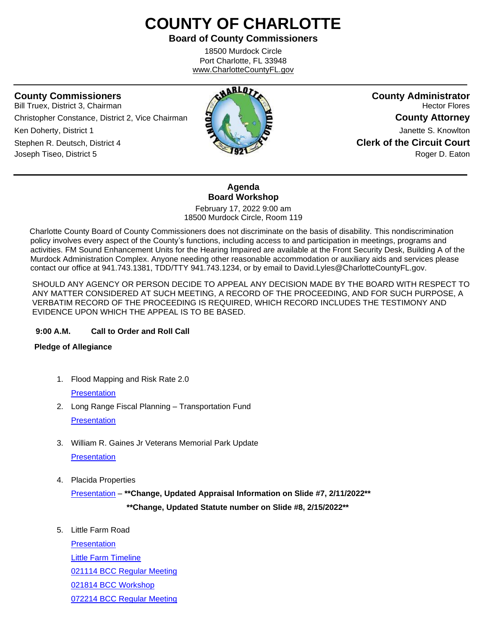# **COUNTY OF CHARLOTTE**

**Board of County Commissioners**

18500 Murdock Circle Port Charlotte, FL 33948 www.CharlotteCountyFL.gov

ֺֺ

Bill Truex, District 3, Chairman **Hector Flores Hector Flores Hector Flores Hector Flores** Christopher Constance, District 2, Vice Chairman **County Attorney Ken Doherty, District 1 County Attorney Attachment Attorney Attorney Attorney Attorney Attorney Janette S. Knowlton** Stephen R. Deutsch, District 4 **Clerk of the Circuit Court** Joseph Tiseo, District 5 **Roger D. Eaton Roger D. Eaton Roger D. Eaton** 



## **Agenda Board Workshop**

February 17, 2022 9:00 am 18500 Murdock Circle, Room 119

 Charlotte County Board of County Commissioners does not discriminate on the basis of disability. This nondiscrimination policy involves every aspect of the County's functions, including access to and participation in meetings, programs and activities. FM Sound Enhancement Units for the Hearing Impaired are available at the Front Security Desk, Building A of the Murdock Administration Complex. Anyone needing other reasonable accommodation or auxiliary aids and services please contact our office at 941.743.1381, TDD/TTY 941.743.1234, or by email to David.Lyles@CharlotteCountyFL.gov.

SHOULD ANY AGENCY OR PERSON DECIDE TO APPEAL ANY DECISION MADE BY THE BOARD WITH RESPECT TO ANY MATTER CONSIDERED AT SUCH MEETING, A RECORD OF THE PROCEEDING, AND FOR SUCH PURPOSE, A VERBATIM RECORD OF THE PROCEEDING IS REQUIRED, WHICH RECORD INCLUDES THE TESTIMONY AND EVIDENCE UPON WHICH THE APPEAL IS TO BE BASED.

#### **9:00 A.M. Call to Order and Roll Call**

#### **Pledge of Allegiance**

1. Flood Mapping and Risk Rate 2.0

**[Presentation](https://data.charlottecountyfl.gov/agenda/20220217/1.pdf)** 

- 2. Long Range Fiscal Planning Transportation Fund **[Presentation](https://data.charlottecountyfl.gov/agenda/20220217/2.pdf)**
- 3. William R. Gaines Jr Veterans Memorial Park Update **[Presentation](https://data.charlottecountyfl.gov/agenda/20220217/3.pdf)**
- 4. Placida Properties

[Presentation](https://data.charlottecountyfl.gov/agenda/20220217/4.pdf) – **\*\*Change, Updated Appraisal Information on Slide #7, 2/11/2022\*\***

 **\*\*Change, Updated Statute number on Slide #8, 2/15/2022\*\***

5. Little Farm Road

**[Presentation](https://data.charlottecountyfl.gov/agenda/20220217/5a.pdf)** [Little Farm Timeline](https://data.charlottecountyfl.gov/agenda/20220217/5b.pdf) [021114 BCC Regular Meeting](https://data.charlottecountyfl.gov/agenda/20220217/5c.pdf) [021814 BCC Workshop](https://data.charlottecountyfl.gov/agenda/20220217/5d.pdf) [072214 BCC Regular Meeting](https://data.charlottecountyfl.gov/agenda/20220217/5e.pdf)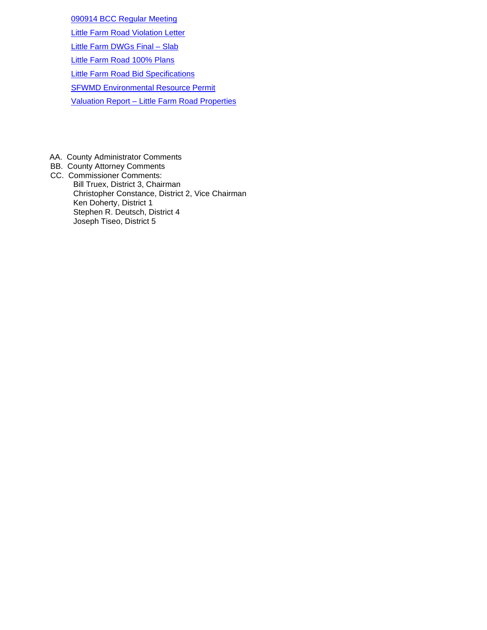[090914 BCC Regular Meeting](https://data.charlottecountyfl.gov/agenda/20220217/5f.pdf)

[Little Farm Road Violation Letter](https://data.charlottecountyfl.gov/agenda/20220217/5g.pdf)

[Little Farm DWGs Final –](https://data.charlottecountyfl.gov/agenda/20220217/5h.pdf) Slab

[Little Farm Road 100% Plans](https://data.charlottecountyfl.gov/agenda/20220217/5i.pdf)

[Little Farm Road Bid Specifications](https://data.charlottecountyfl.gov/agenda/20220217/5j.pdf)

[SFWMD Environmental Resource Permit](https://data.charlottecountyfl.gov/agenda/20220217/5k.pdf)

Valuation Report – [Little Farm Road Properties](https://data.charlottecountyfl.gov/agenda/20220217/5l.pdf)

- AA. County Administrator Comments
- BB. County Attorney Comments CC. Commissioner Comments: Bill Truex, District 3, Chairman Christopher Constance, District 2, Vice Chairman Ken Doherty, District 1 Stephen R. Deutsch, District 4

Joseph Tiseo, District 5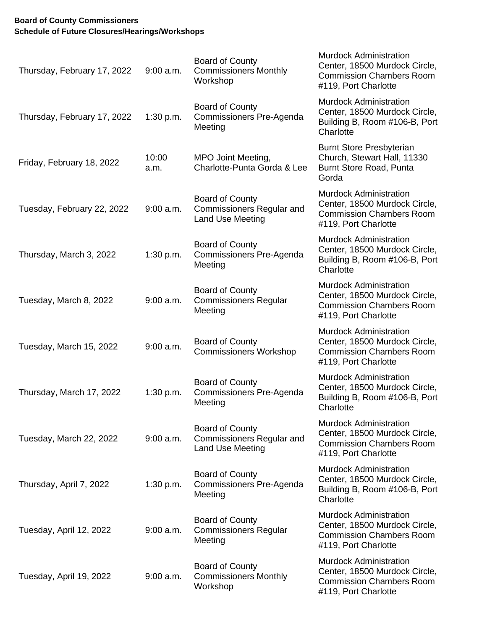### **Board of County Commissioners Schedule of Future Closures/Hearings/Workshops**

| Thursday, February 17, 2022 | $9:00$ a.m.   | <b>Board of County</b><br><b>Commissioners Monthly</b><br>Workshop             | <b>Murdock Administration</b><br>Center, 18500 Murdock Circle,<br><b>Commission Chambers Room</b><br>#119, Port Charlotte |
|-----------------------------|---------------|--------------------------------------------------------------------------------|---------------------------------------------------------------------------------------------------------------------------|
| Thursday, February 17, 2022 | 1:30 p.m.     | <b>Board of County</b><br>Commissioners Pre-Agenda<br>Meeting                  | <b>Murdock Administration</b><br>Center, 18500 Murdock Circle,<br>Building B, Room #106-B, Port<br>Charlotte              |
| Friday, February 18, 2022   | 10:00<br>a.m. | MPO Joint Meeting,<br>Charlotte-Punta Gorda & Lee                              | <b>Burnt Store Presbyterian</b><br>Church, Stewart Hall, 11330<br>Burnt Store Road, Punta<br>Gorda                        |
| Tuesday, February 22, 2022  | $9:00$ a.m.   | Board of County<br><b>Commissioners Regular and</b><br>Land Use Meeting        | <b>Murdock Administration</b><br>Center, 18500 Murdock Circle,<br><b>Commission Chambers Room</b><br>#119, Port Charlotte |
| Thursday, March 3, 2022     | 1:30 p.m.     | <b>Board of County</b><br>Commissioners Pre-Agenda<br>Meeting                  | <b>Murdock Administration</b><br>Center, 18500 Murdock Circle,<br>Building B, Room #106-B, Port<br>Charlotte              |
| Tuesday, March 8, 2022      | $9:00$ a.m.   | <b>Board of County</b><br><b>Commissioners Regular</b><br>Meeting              | <b>Murdock Administration</b><br>Center, 18500 Murdock Circle,<br><b>Commission Chambers Room</b><br>#119, Port Charlotte |
| Tuesday, March 15, 2022     | $9:00$ a.m.   | Board of County<br><b>Commissioners Workshop</b>                               | <b>Murdock Administration</b><br>Center, 18500 Murdock Circle,<br><b>Commission Chambers Room</b><br>#119, Port Charlotte |
| Thursday, March 17, 2022    | 1:30 p.m.     | <b>Board of County</b><br>Commissioners Pre-Agenda<br>Meeting                  | <b>Murdock Administration</b><br>Center, 18500 Murdock Circle,<br>Building B, Room #106-B, Port<br>Charlotte              |
| Tuesday, March 22, 2022     | $9:00$ a.m.   | <b>Board of County</b><br><b>Commissioners Regular and</b><br>Land Use Meeting | <b>Murdock Administration</b><br>Center, 18500 Murdock Circle,<br><b>Commission Chambers Room</b><br>#119, Port Charlotte |
| Thursday, April 7, 2022     | 1:30 p.m.     | <b>Board of County</b><br>Commissioners Pre-Agenda<br>Meeting                  | <b>Murdock Administration</b><br>Center, 18500 Murdock Circle,<br>Building B, Room #106-B, Port<br>Charlotte              |
| Tuesday, April 12, 2022     | $9:00$ a.m.   | <b>Board of County</b><br><b>Commissioners Regular</b><br>Meeting              | <b>Murdock Administration</b><br>Center, 18500 Murdock Circle,<br><b>Commission Chambers Room</b><br>#119, Port Charlotte |
| Tuesday, April 19, 2022     | $9:00$ a.m.   | <b>Board of County</b><br><b>Commissioners Monthly</b><br>Workshop             | <b>Murdock Administration</b><br>Center, 18500 Murdock Circle,<br><b>Commission Chambers Room</b><br>#119, Port Charlotte |